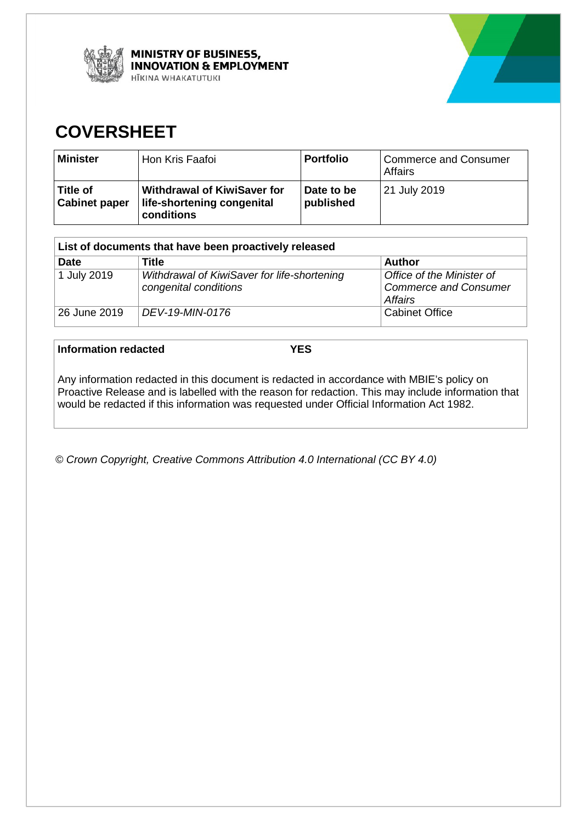



# **COVERSHEET**

| <b>Minister</b>                    | Hon Kris Faafoi                                                                | <b>Portfolio</b>        | <b>Commerce and Consumer</b><br>Affairs |
|------------------------------------|--------------------------------------------------------------------------------|-------------------------|-----------------------------------------|
| l Title of<br><b>Cabinet paper</b> | Withdrawal of KiwiSaver for<br>life-shortening congenital<br><b>conditions</b> | Date to be<br>published | 21 July 2019                            |

| List of documents that have been proactively released |                                                                      |                                                                      |  |  |
|-------------------------------------------------------|----------------------------------------------------------------------|----------------------------------------------------------------------|--|--|
| <b>Date</b>                                           | Title                                                                | <b>Author</b>                                                        |  |  |
| 1 July 2019                                           | Withdrawal of KiwiSaver for life-shortening<br>congenital conditions | Office of the Minister of<br><b>Commerce and Consumer</b><br>Affairs |  |  |
| 26 June 2019                                          | DEV-19-MIN-0176                                                      | <b>Cabinet Office</b>                                                |  |  |

**Information redacted YES**

Any information redacted in this document is redacted in accordance with MBIE's policy on Proactive Release and is labelled with the reason for redaction. This may include information that would be redacted if this information was requested under Official Information Act 1982.

*© Crown Copyright, Creative Commons Attribution 4.0 International (CC BY 4.0)*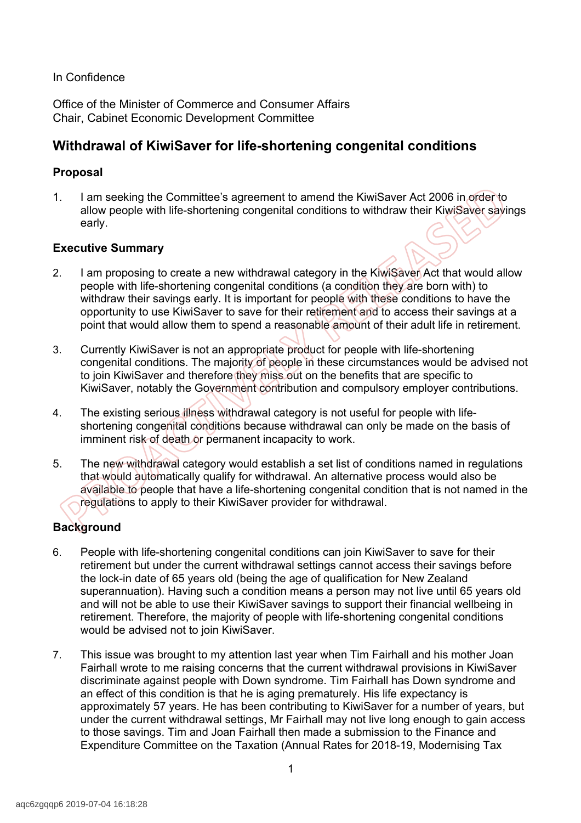#### In Confidence

Office of the Minister of Commerce and Consumer Affairs Chair, Cabinet Economic Development Committee

# **Withdrawal of KiwiSaver for life-shortening congenital conditions**

#### **Proposal**

1. I am seeking the Committee's agreement to amend the KiwiSaver Act 2006 in order to allow people with life-shortening congenital conditions to withdraw their KiwiSaver savings early.

#### **Executive Summary**

- 2. I am proposing to create a new withdrawal category in the KiwiSaver Act that would allow people with life-shortening congenital conditions (a condition they are born with) to withdraw their savings early. It is important for people with these conditions to have the opportunity to use KiwiSaver to save for their retirement and to access their savings at a point that would allow them to spend a reasonable amount of their adult life in retirement.
- 3. Currently KiwiSaver is not an appropriate product for people with life-shortening congenital conditions. The majority of people in these circumstances would be advised not to join KiwiSaver and therefore they miss out on the benefits that are specific to KiwiSaver, notably the Government contribution and compulsory employer contributions.
- 4. The existing serious illness withdrawal category is not useful for people with lifeshortening congenital conditions because withdrawal can only be made on the basis of imminent risk of death or permanent incapacity to work.
- 5. The new withdrawal category would establish a set list of conditions named in regulations that would automatically qualify for withdrawal. An alternative process would also be available to people that have a life-shortening congenital condition that is not named in the regulations to apply to their KiwiSaver provider for withdrawal.

# **Background**

- 6. People with life-shortening congenital conditions can join KiwiSaver to save for their retirement but under the current withdrawal settings cannot access their savings before the lock-in date of 65 years old (being the age of qualification for New Zealand superannuation). Having such a condition means a person may not live until 65 years old and will not be able to use their KiwiSaver savings to support their financial wellbeing in retirement. Therefore, the majority of people with life-shortening congenital conditions would be advised not to join KiwiSaver.
- 7. This issue was brought to my attention last year when Tim Fairhall and his mother Joan Fairhall wrote to me raising concerns that the current withdrawal provisions in KiwiSaver discriminate against people with Down syndrome. Tim Fairhall has Down syndrome and an effect of this condition is that he is aging prematurely. His life expectancy is approximately 57 years. He has been contributing to KiwiSaver for a number of years, but under the current withdrawal settings, Mr Fairhall may not live long enough to gain access to those savings. Tim and Joan Fairhall then made a submission to the Finance and Expenditure Committee on the Taxation (Annual Rates for 2018-19, Modernising Tax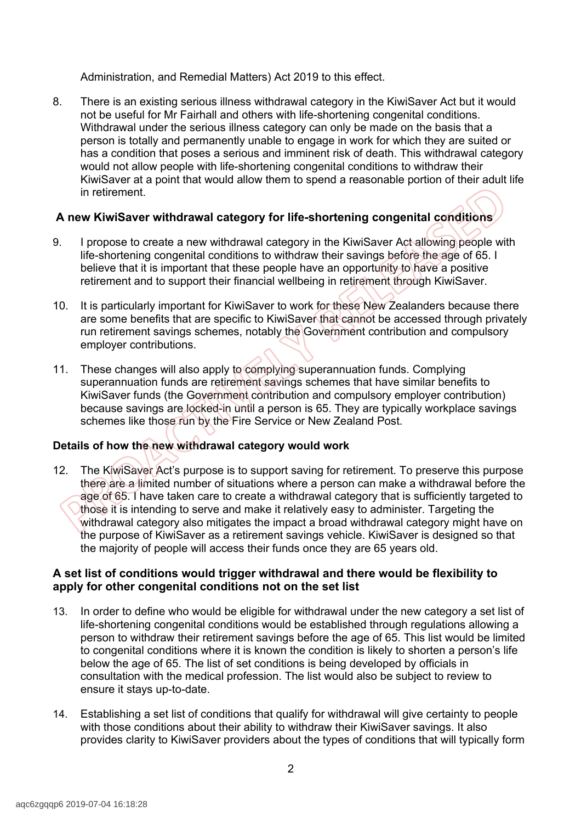Administration, and Remedial Matters) Act 2019 to this effect.

8. There is an existing serious illness withdrawal category in the KiwiSaver Act but it would not be useful for Mr Fairhall and others with life-shortening congenital conditions. Withdrawal under the serious illness category can only be made on the basis that a person is totally and permanently unable to engage in work for which they are suited or has a condition that poses a serious and imminent risk of death. This withdrawal category would not allow people with life-shortening congenital conditions to withdraw their KiwiSaver at a point that would allow them to spend a reasonable portion of their adult life in retirement.

## **A new KiwiSaver withdrawal category for life-shortening congenital conditions**

- 9. I propose to create a new withdrawal category in the KiwiSaver Act allowing people with life-shortening congenital conditions to withdraw their savings before the age of 65. I believe that it is important that these people have an opportunity to have a positive retirement and to support their financial wellbeing in retirement through KiwiSaver.
- 10. It is particularly important for KiwiSaver to work for these New Zealanders because there are some benefits that are specific to KiwiSaver that cannot be accessed through privately run retirement savings schemes, notably the Government contribution and compulsory employer contributions.
- 11. These changes will also apply to complying superannuation funds. Complying superannuation funds are retirement savings schemes that have similar benefits to KiwiSaver funds (the Government contribution and compulsory employer contribution) because savings are locked-in until a person is 65. They are typically workplace savings schemes like those run by the Fire Service or New Zealand Post.

## **Details of how the new withdrawal category would work**

12. The KiwiSaver Act's purpose is to support saving for retirement. To preserve this purpose there are a limited number of situations where a person can make a withdrawal before the age of 65. I have taken care to create a withdrawal category that is sufficiently targeted to those it is intending to serve and make it relatively easy to administer. Targeting the withdrawal category also mitigates the impact a broad withdrawal category might have on the purpose of KiwiSaver as a retirement savings vehicle. KiwiSaver is designed so that the majority of people will access their funds once they are 65 years old.

#### **A set list of conditions would trigger withdrawal and there would be flexibility to apply for other congenital conditions not on the set list**

- 13. In order to define who would be eligible for withdrawal under the new category a set list of life-shortening congenital conditions would be established through regulations allowing a person to withdraw their retirement savings before the age of 65. This list would be limited to congenital conditions where it is known the condition is likely to shorten a person's life below the age of 65. The list of set conditions is being developed by officials in consultation with the medical profession. The list would also be subject to review to ensure it stays up-to-date.
- 14. Establishing a set list of conditions that qualify for withdrawal will give certainty to people with those conditions about their ability to withdraw their KiwiSaver savings. It also provides clarity to KiwiSaver providers about the types of conditions that will typically form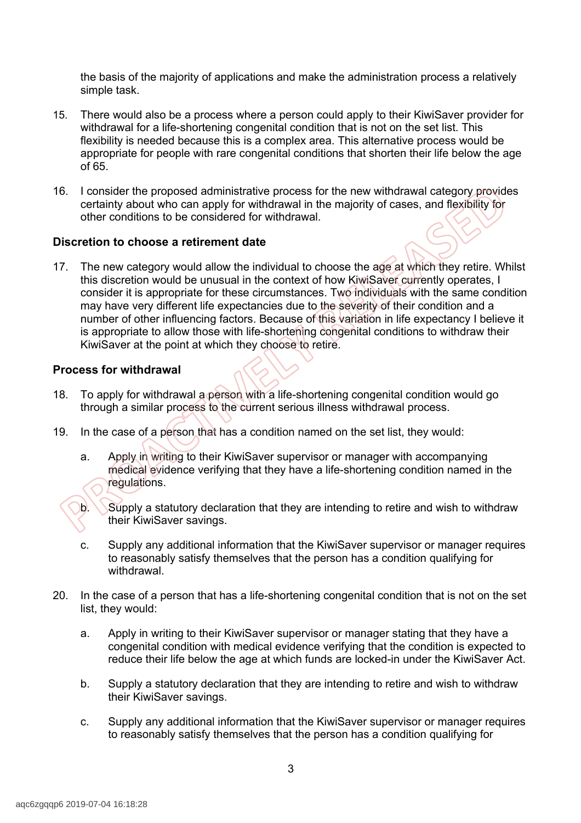the basis of the majority of applications and make the administration process a relatively simple task.

- 15. There would also be a process where a person could apply to their KiwiSaver provider for withdrawal for a life-shortening congenital condition that is not on the set list. This flexibility is needed because this is a complex area. This alternative process would be appropriate for people with rare congenital conditions that shorten their life below the age of 65.
- 16. I consider the proposed administrative process for the new withdrawal category provides certainty about who can apply for withdrawal in the majority of cases, and flexibility for other conditions to be considered for withdrawal.

#### **Discretion to choose a retirement date**

17. The new category would allow the individual to choose the age at which they retire. Whilst this discretion would be unusual in the context of how KiwiSaver currently operates, I consider it is appropriate for these circumstances. Two individuals with the same condition may have very different life expectancies due to the severity of their condition and a number of other influencing factors. Because of this variation in life expectancy I believe it is appropriate to allow those with life-shortening congenital conditions to withdraw their KiwiSaver at the point at which they choose to retire.

#### **Process for withdrawal**

- 18. To apply for withdrawal a person with a life-shortening congenital condition would go through a similar process to the current serious illness withdrawal process.
- 19. In the case of a person that has a condition named on the set list, they would:
	- a. Apply in writing to their KiwiSaver supervisor or manager with accompanying medical evidence verifying that they have a life-shortening condition named in the regulations.
	- b. Supply a statutory declaration that they are intending to retire and wish to withdraw their KiwiSaver savings.
	- c. Supply any additional information that the KiwiSaver supervisor or manager requires to reasonably satisfy themselves that the person has a condition qualifying for withdrawal.
- 20. In the case of a person that has a life-shortening congenital condition that is not on the set list, they would:
	- a. Apply in writing to their KiwiSaver supervisor or manager stating that they have a congenital condition with medical evidence verifying that the condition is expected to reduce their life below the age at which funds are locked-in under the KiwiSaver Act.
	- b. Supply a statutory declaration that they are intending to retire and wish to withdraw their KiwiSaver savings.
	- c. Supply any additional information that the KiwiSaver supervisor or manager requires to reasonably satisfy themselves that the person has a condition qualifying for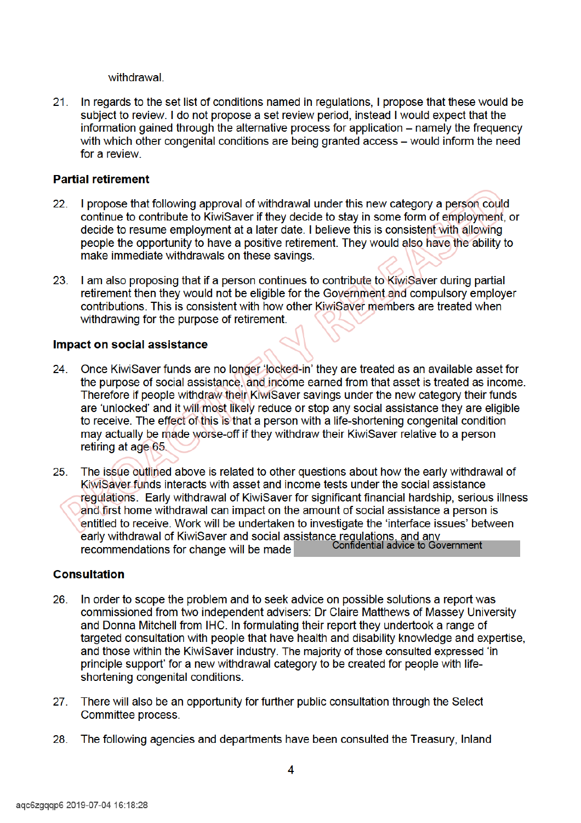withdrawal.

In regards to the set list of conditions named in regulations, I propose that these would be  $21.$ subject to review. I do not propose a set review period, instead I would expect that the information gained through the alternative process for application – namely the frequency with which other congenital conditions are being granted access – would inform the need for a review

#### **Partial retirement**

- I propose that following approval of withdrawal under this new category a person could 22 continue to contribute to KiwiSaver if they decide to stay in some form of employment, or decide to resume employment at a later date. I believe this is consistent with allowing people the opportunity to have a positive retirement. They would also have the ability to make immediate withdrawals on these savings.
- I am also proposing that if a person continues to contribute to KiwiSaver during partial 23. retirement then they would not be eligible for the Government and compulsory employer contributions. This is consistent with how other KiwiSaver members are treated when withdrawing for the purpose of retirement.

#### Impact on social assistance

- Once KiwiSaver funds are no longer 'locked-in' they are treated as an available asset for 24. the purpose of social assistance, and income earned from that asset is treated as income. Therefore if people withdraw their KiwiSaver savings under the new category their funds are 'unlocked' and it will most likely reduce or stop any social assistance they are eligible to receive. The effect of this is that a person with a life-shortening congenital condition may actually be made worse-off if they withdraw their KiwiSaver relative to a person retiring at age 65.
- The issue outlined above is related to other questions about how the early withdrawal of  $25.$ KiwiSaver funds interacts with asset and income tests under the social assistance regulations. Early withdrawal of KiwiSaver for significant financial hardship, serious illness and first home withdrawal can impact on the amount of social assistance a person is entitled to receive. Work will be undertaken to investigate the 'interface issues' between early withdrawal of KiwiSaver and social assistance regulations, and any<br>recommendations for change will be made confidential advice to Government recommendations for change will be made

## **Consultation**

- In order to scope the problem and to seek advice on possible solutions a report was 26 commissioned from two independent advisers: Dr Claire Matthews of Massey University and Donna Mitchell from IHC. In formulating their report they undertook a range of targeted consultation with people that have health and disability knowledge and expertise, and those within the KiwiSaver industry. The majority of those consulted expressed 'in principle support' for a new withdrawal category to be created for people with lifeshortening congenital conditions.
- There will also be an opportunity for further public consultation through the Select  $27.$ Committee process.
- The following agencies and departments have been consulted the Treasury, Inland 28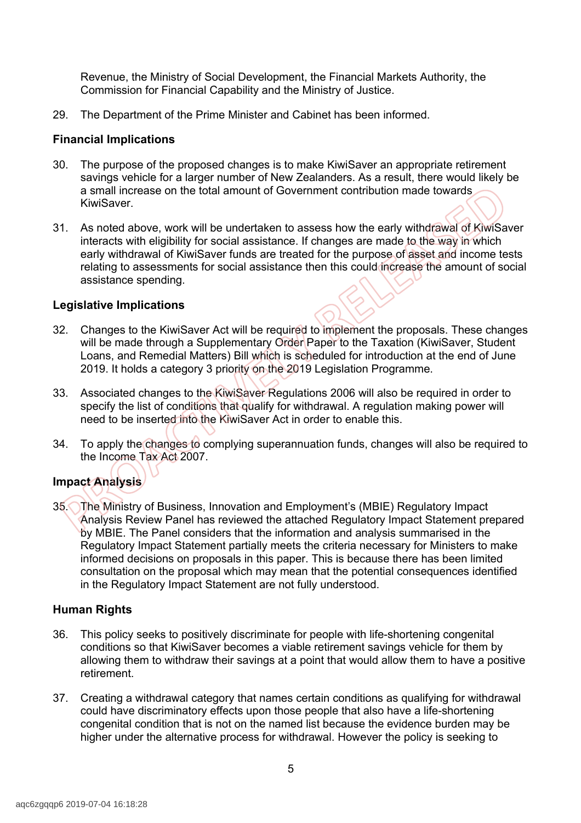Revenue, the Ministry of Social Development, the Financial Markets Authority, the Commission for Financial Capability and the Ministry of Justice.

29. The Department of the Prime Minister and Cabinet has been informed.

#### **Financial Implications**

- 30. The purpose of the proposed changes is to make KiwiSaver an appropriate retirement savings vehicle for a larger number of New Zealanders. As a result, there would likely be a small increase on the total amount of Government contribution made towards KiwiSaver.
- 31. As noted above, work will be undertaken to assess how the early withdrawal of KiwiSaver interacts with eligibility for social assistance. If changes are made to the way in which early withdrawal of KiwiSaver funds are treated for the purpose of asset and income tests relating to assessments for social assistance then this could increase the amount of social assistance spending.

#### **Legislative Implications**

- 32. Changes to the KiwiSaver Act will be required to implement the proposals. These changes will be made through a Supplementary Order Paper to the Taxation (KiwiSaver, Student Loans, and Remedial Matters) Bill which is scheduled for introduction at the end of June 2019. It holds a category 3 priority on the 2019 Legislation Programme.
- 33. Associated changes to the KiwiSaver Regulations 2006 will also be required in order to specify the list of conditions that qualify for withdrawal. A regulation making power will need to be inserted into the KiwiSaver Act in order to enable this.
- 34. To apply the changes to complying superannuation funds, changes will also be required to the Income Tax Act 2007.

# **Impact Analysis**

35. The Ministry of Business, Innovation and Employment's (MBIE) Regulatory Impact Analysis Review Panel has reviewed the attached Regulatory Impact Statement prepared by MBIE. The Panel considers that the information and analysis summarised in the Regulatory Impact Statement partially meets the criteria necessary for Ministers to make informed decisions on proposals in this paper. This is because there has been limited consultation on the proposal which may mean that the potential consequences identified in the Regulatory Impact Statement are not fully understood.

#### **Human Rights**

- 36. This policy seeks to positively discriminate for people with life-shortening congenital conditions so that KiwiSaver becomes a viable retirement savings vehicle for them by allowing them to withdraw their savings at a point that would allow them to have a positive retirement.
- 37. Creating a withdrawal category that names certain conditions as qualifying for withdrawal could have discriminatory effects upon those people that also have a life-shortening congenital condition that is not on the named list because the evidence burden may be higher under the alternative process for withdrawal. However the policy is seeking to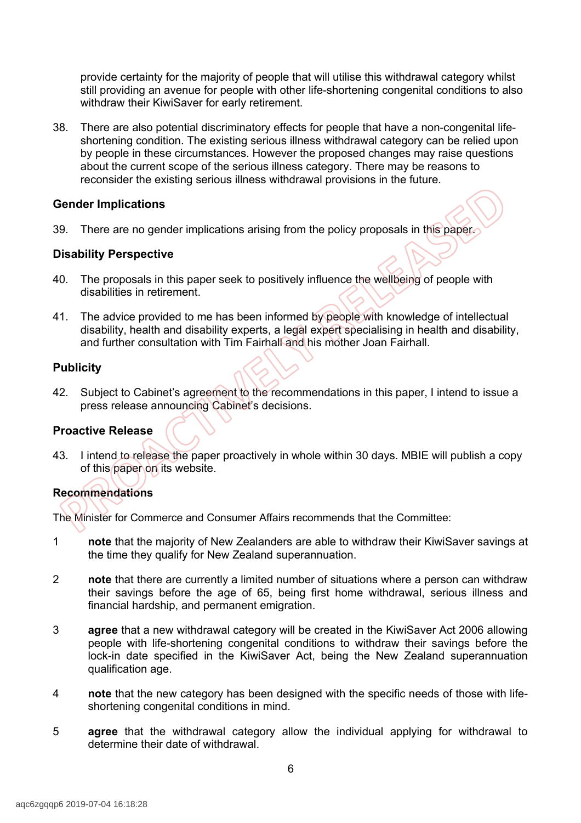provide certainty for the majority of people that will utilise this withdrawal category whilst still providing an avenue for people with other life-shortening congenital conditions to also withdraw their KiwiSaver for early retirement.

38. There are also potential discriminatory effects for people that have a non-congenital lifeshortening condition. The existing serious illness withdrawal category can be relied upon by people in these circumstances. However the proposed changes may raise questions about the current scope of the serious illness category. There may be reasons to reconsider the existing serious illness withdrawal provisions in the future.

#### **Gender Implications**

39. There are no gender implications arising from the policy proposals in this paper.

#### **Disability Perspective**

- 40. The proposals in this paper seek to positively influence the wellbeing of people with disabilities in retirement.
- 41. The advice provided to me has been informed by people with knowledge of intellectual disability, health and disability experts, a legal expert specialising in health and disability, and further consultation with Tim Fairhall and his mother Joan Fairhall.

#### **Publicity**

42. Subject to Cabinet's agreement to the recommendations in this paper, I intend to issue a press release announcing Cabinet's decisions.

#### **Proactive Release**

43. I intend to release the paper proactively in whole within 30 days. MBIE will publish a copy of this paper on its website.

## **Recommendations**

The Minister for Commerce and Consumer Affairs recommends that the Committee:

- 1 **note** that the majority of New Zealanders are able to withdraw their KiwiSaver savings at the time they qualify for New Zealand superannuation.
- 2 **note** that there are currently a limited number of situations where a person can withdraw their savings before the age of 65, being first home withdrawal, serious illness and financial hardship, and permanent emigration.
- 3 **agree** that a new withdrawal category will be created in the KiwiSaver Act 2006 allowing people with life-shortening congenital conditions to withdraw their savings before the lock-in date specified in the KiwiSaver Act, being the New Zealand superannuation qualification age.
- 4 **note** that the new category has been designed with the specific needs of those with lifeshortening congenital conditions in mind.
- 5 **agree** that the withdrawal category allow the individual applying for withdrawal to determine their date of withdrawal.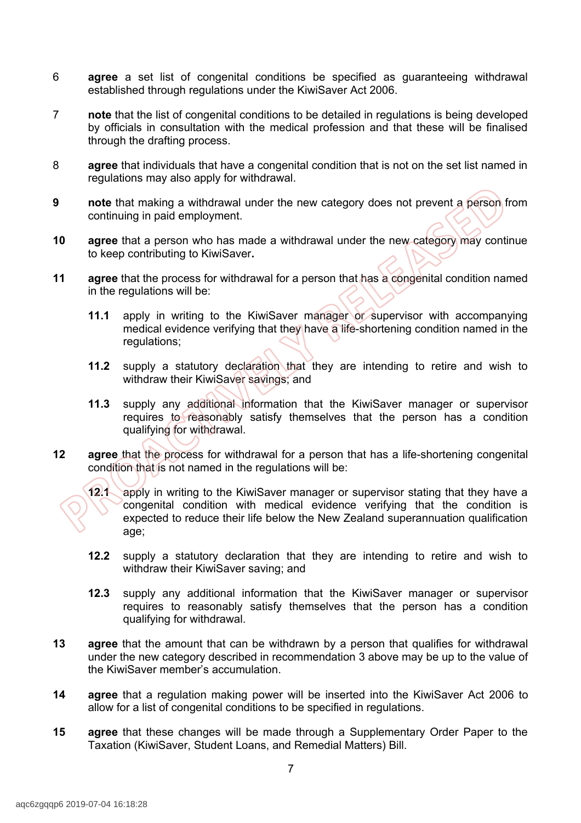- 6 **agree** a set list of congenital conditions be specified as guaranteeing withdrawal established through regulations under the KiwiSaver Act 2006.
- 7 **note** that the list of congenital conditions to be detailed in regulations is being developed by officials in consultation with the medical profession and that these will be finalised through the drafting process.
- 8 **agree** that individuals that have a congenital condition that is not on the set list named in regulations may also apply for withdrawal.
- **9 note** that making a withdrawal under the new category does not prevent a person from continuing in paid employment.
- **10 agree** that a person who has made a withdrawal under the new category may continue to keep contributing to KiwiSaver**.**
- **11 agree** that the process for withdrawal for a person that has a congenital condition named in the regulations will be:
	- **11.1** apply in writing to the KiwiSaver manager or supervisor with accompanying medical evidence verifying that they have a life-shortening condition named in the regulations;
	- **11.2** supply a statutory declaration that they are intending to retire and wish to withdraw their KiwiSaver savings; and
	- **11.3** supply any additional information that the KiwiSaver manager or supervisor requires to reasonably satisfy themselves that the person has a condition qualifying for withdrawal.
- **12 agree** that the process for withdrawal for a person that has a life-shortening congenital condition that is not named in the regulations will be:

**12.1** apply in writing to the KiwiSaver manager or supervisor stating that they have a congenital condition with medical evidence verifying that the condition is expected to reduce their life below the New Zealand superannuation qualification age;

- **12.2** supply a statutory declaration that they are intending to retire and wish to withdraw their KiwiSaver saving; and
- **12.3** supply any additional information that the KiwiSaver manager or supervisor requires to reasonably satisfy themselves that the person has a condition qualifying for withdrawal.
- **13 agree** that the amount that can be withdrawn by a person that qualifies for withdrawal under the new category described in recommendation 3 above may be up to the value of the KiwiSaver member's accumulation.
- **14 agree** that a regulation making power will be inserted into the KiwiSaver Act 2006 to allow for a list of congenital conditions to be specified in regulations.
- **15 agree** that these changes will be made through a Supplementary Order Paper to the Taxation (KiwiSaver, Student Loans, and Remedial Matters) Bill.